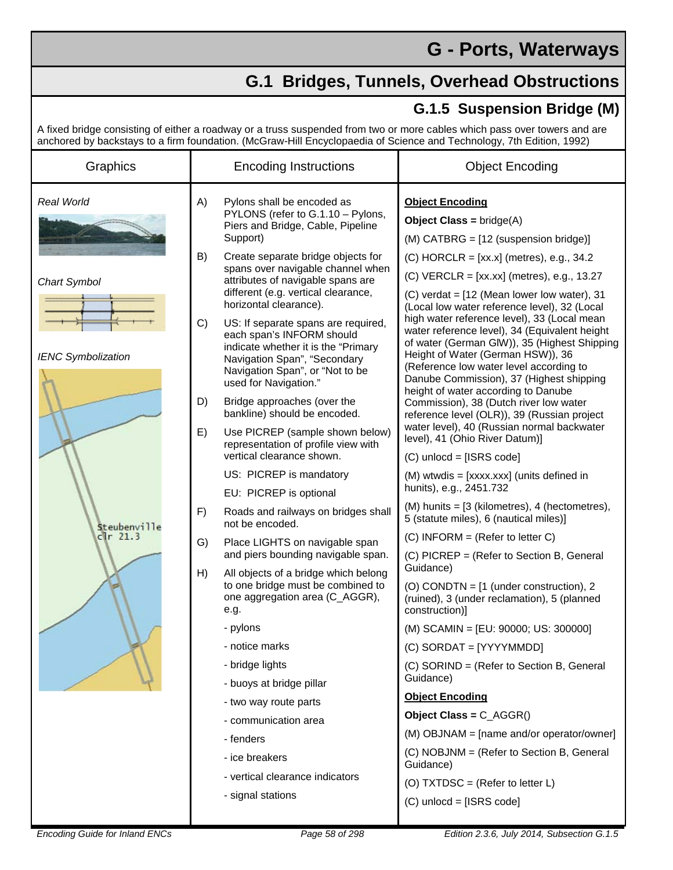## **G - Ports, Waterways**

## **G.1 Bridges, Tunnels, Overhead Obstructions**

## **G.1.5 Suspension Bridge (M)**

A fixed bridge consisting of either a roadway or a truss suspended from two or more cables which pass over towers and are anchored by backstays to a firm foundation. (McGraw-Hill Encyclopaedia of Science and Technology, 7th Edition, 1992)

| Graphics                                                  | <b>Encoding Instructions</b>                                                                                                                                                                                                                                                                         | <b>Object Encoding</b>                                                                                                                                                                                                                                                                                                                      |
|-----------------------------------------------------------|------------------------------------------------------------------------------------------------------------------------------------------------------------------------------------------------------------------------------------------------------------------------------------------------------|---------------------------------------------------------------------------------------------------------------------------------------------------------------------------------------------------------------------------------------------------------------------------------------------------------------------------------------------|
| Real World                                                | A)<br>Pylons shall be encoded as<br>PYLONS (refer to G.1.10 - Pylons,<br>Piers and Bridge, Cable, Pipeline<br>Support)                                                                                                                                                                               | <b>Object Encoding</b><br><b>Object Class = bridge(A)</b><br>(M) CATBRG = [12 (suspension bridge)]                                                                                                                                                                                                                                          |
| <b>Chart Symbol</b>                                       | B)<br>Create separate bridge objects for<br>spans over navigable channel when<br>attributes of navigable spans are<br>different (e.g. vertical clearance,<br>horizontal clearance).<br>C)<br>US: If separate spans are required,<br>each span's INFORM should<br>indicate whether it is the "Primary | (C) HORCLR = $[xx.x]$ (metres), e.g., 34.2<br>(C) VERCLR = $[xx xx]$ (metres), e.g., 13.27<br>(C) verdat = $[12$ (Mean lower low water), 31<br>(Local low water reference level), 32 (Local<br>high water reference level), 33 (Local mean<br>water reference level), 34 (Equivalent height<br>of water (German GIW)), 35 (Highest Shipping |
| <b>IENC Symbolization</b><br>Steubenville<br>$clr$ $21.3$ | Navigation Span", "Secondary<br>Navigation Span", or "Not to be<br>used for Navigation."<br>D)<br>Bridge approaches (over the<br>bankline) should be encoded.<br>E)<br>Use PICREP (sample shown below)                                                                                               | Height of Water (German HSW)), 36<br>(Reference low water level according to<br>Danube Commission), 37 (Highest shipping<br>height of water according to Danube<br>Commission), 38 (Dutch river low water<br>reference level (OLR)), 39 (Russian project<br>water level), 40 (Russian normal backwater<br>level), 41 (Ohio River Datum)]    |
|                                                           | representation of profile view with<br>vertical clearance shown.<br>US: PICREP is mandatory<br>EU: PICREP is optional<br>F)<br>Roads and railways on bridges shall                                                                                                                                   | $(C)$ unlocd = [ISRS code]<br>(M) wtwdis = [xxxx.xxx] (units defined in<br>hunits), e.g., 2451.732<br>(M) hunits = [3 (kilometres), 4 (hectometres),                                                                                                                                                                                        |
|                                                           | not be encoded.<br>G)<br>Place LIGHTS on navigable span<br>and piers bounding navigable span.<br>H)<br>All objects of a bridge which belong<br>to one bridge must be combined to                                                                                                                     | 5 (statute miles), 6 (nautical miles)]<br>$(C)$ INFORM = (Refer to letter C)<br>(C) PICREP = (Refer to Section B, General<br>Guidance)<br>(O) CONDTN = $[1$ (under construction), 2                                                                                                                                                         |
|                                                           | one aggregation area (C_AGGR),<br>e.g.<br>- pylons<br>- notice marks<br>- bridge lights                                                                                                                                                                                                              | (ruined), 3 (under reclamation), 5 (planned<br>construction)]<br>(M) SCAMIN = [EU: 90000; US: 300000]<br>(C) SORDAT = [YYYYMMDD]<br>(C) SORIND = (Refer to Section B, General                                                                                                                                                               |
|                                                           | - buoys at bridge pillar<br>- two way route parts<br>- communication area<br>- fenders<br>- ice breakers<br>- vertical clearance indicators<br>- signal stations                                                                                                                                     | Guidance)<br><b>Object Encoding</b><br>Object Class = $C_AGGR()$<br>(M) OBJNAM = [name and/or operator/owner]<br>(C) NOBJNM = (Refer to Section B, General<br>Guidance)<br>(O) TXTDSC = (Refer to letter L)                                                                                                                                 |
|                                                           |                                                                                                                                                                                                                                                                                                      | $(C)$ unlocd = [ISRS code]                                                                                                                                                                                                                                                                                                                  |